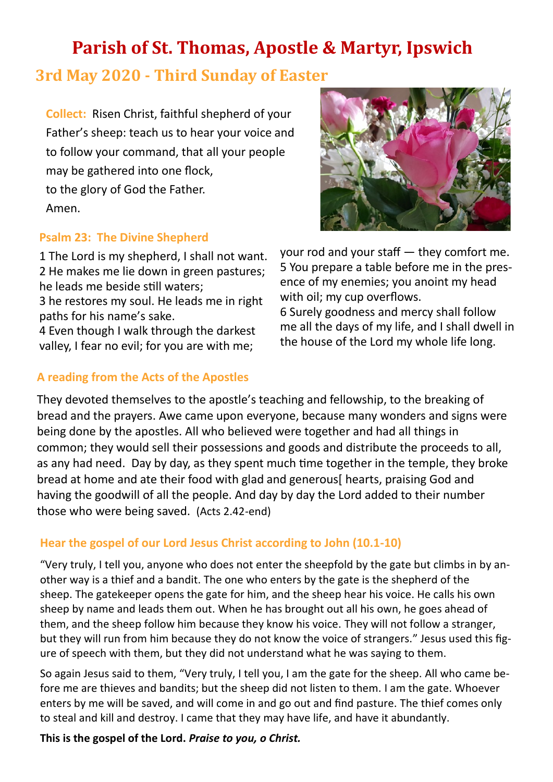# **Parish of St. Thomas, Apostle & Martyr, Ipswich**

# **3rd May 2020 - Third Sunday of Easter**

**Collect:** Risen Christ, faithful shepherd of your Father's sheep: teach us to hear your voice and to follow your command, that all your people may be gathered into one flock, to the glory of God the Father. Amen.

## **Psalm 23: The Divine Shepherd**

1 The Lord is my shepherd, I shall not want. 2 He makes me lie down in green pastures; he leads me beside still waters;

3 he restores my soul. He leads me in right paths for his name's sake.

4 Even though I walk through the darkest valley, I fear no evil; for you are with me;

## **A reading from the Acts of the Apostles**



your rod and your staff — they comfort me. 5 You prepare a table before me in the presence of my enemies; you anoint my head with oil; my cup overflows. 6 Surely goodness and mercy shall follow me all the days of my life, and I shall dwell in the house of the Lord my whole life long.

They devoted themselves to the apostle's teaching and fellowship, to the breaking of bread and the prayers. Awe came upon everyone, because many wonders and signs were being done by the apostles. All who believed were together and had all things in common; they would sell their possessions and goods and distribute the proceeds to all, as any had need. Day by day, as they spent much time together in the temple, they broke bread at home and ate their food with glad and generous[ hearts, praising God and having the goodwill of all the people. And day by day the Lord added to their number those who were being saved. (Acts 2.42-end)

## **Hear the gospel of our Lord Jesus Christ according to John (10.1-10)**

"Very truly, I tell you, anyone who does not enter the sheepfold by the gate but climbs in by another way is a thief and a bandit. The one who enters by the gate is the shepherd of the sheep. The gatekeeper opens the gate for him, and the sheep hear his voice. He calls his own sheep by name and leads them out. When he has brought out all his own, he goes ahead of them, and the sheep follow him because they know his voice. They will not follow a stranger, but they will run from him because they do not know the voice of strangers." Jesus used this figure of speech with them, but they did not understand what he was saying to them.

So again Jesus said to them, "Very truly, I tell you, I am the gate for the sheep. All who came before me are thieves and bandits; but the sheep did not listen to them. I am the gate. Whoever enters by me will be saved, and will come in and go out and find pasture. The thief comes only to steal and kill and destroy. I came that they may have life, and have it abundantly.

**This is the gospel of the Lord.** *Praise to you, o Christ.*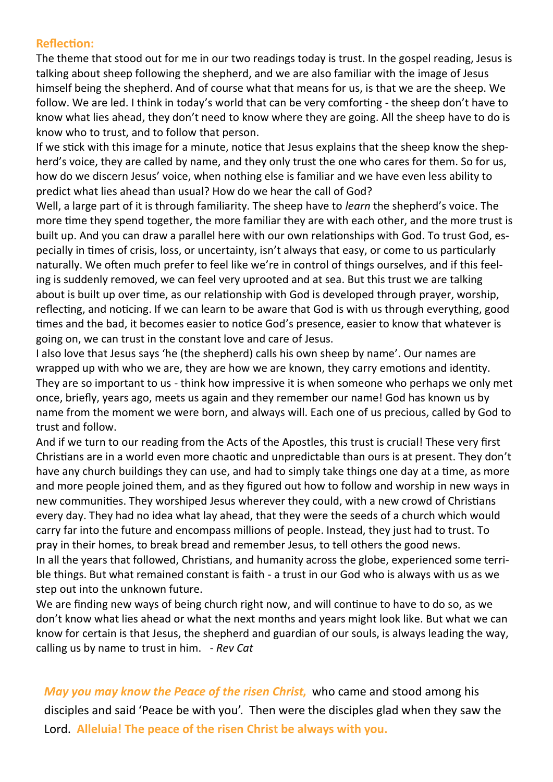## **Reflection:**

The theme that stood out for me in our two readings today is trust. In the gospel reading, Jesus is talking about sheep following the shepherd, and we are also familiar with the image of Jesus himself being the shepherd. And of course what that means for us, is that we are the sheep. We follow. We are led. I think in today's world that can be very comforting - the sheep don't have to know what lies ahead, they don't need to know where they are going. All the sheep have to do is know who to trust, and to follow that person.

If we stick with this image for a minute, notice that Jesus explains that the sheep know the shepherd's voice, they are called by name, and they only trust the one who cares for them. So for us, how do we discern Jesus' voice, when nothing else is familiar and we have even less ability to predict what lies ahead than usual? How do we hear the call of God?

Well, a large part of it is through familiarity. The sheep have to *learn* the shepherd's voice. The more time they spend together, the more familiar they are with each other, and the more trust is built up. And you can draw a parallel here with our own relationships with God. To trust God, especially in times of crisis, loss, or uncertainty, isn't always that easy, or come to us particularly naturally. We often much prefer to feel like we're in control of things ourselves, and if this feeling is suddenly removed, we can feel very uprooted and at sea. But this trust we are talking about is built up over time, as our relationship with God is developed through prayer, worship, reflecting, and noticing. If we can learn to be aware that God is with us through everything, good times and the bad, it becomes easier to notice God's presence, easier to know that whatever is going on, we can trust in the constant love and care of Jesus.

I also love that Jesus says 'he (the shepherd) calls his own sheep by name'. Our names are wrapped up with who we are, they are how we are known, they carry emotions and identity. They are so important to us - think how impressive it is when someone who perhaps we only met once, briefly, years ago, meets us again and they remember our name! God has known us by name from the moment we were born, and always will. Each one of us precious, called by God to trust and follow.

And if we turn to our reading from the Acts of the Apostles, this trust is crucial! These very first Christians are in a world even more chaotic and unpredictable than ours is at present. They don't have any church buildings they can use, and had to simply take things one day at a time, as more and more people joined them, and as they figured out how to follow and worship in new ways in new communities. They worshiped Jesus wherever they could, with a new crowd of Christians every day. They had no idea what lay ahead, that they were the seeds of a church which would carry far into the future and encompass millions of people. Instead, they just had to trust. To pray in their homes, to break bread and remember Jesus, to tell others the good news. In all the years that followed, Christians, and humanity across the globe, experienced some terrible things. But what remained constant is faith - a trust in our God who is always with us as we step out into the unknown future.

We are finding new ways of being church right now, and will continue to have to do so, as we don't know what lies ahead or what the next months and years might look like. But what we can know for certain is that Jesus, the shepherd and guardian of our souls, is always leading the way, calling us by name to trust in him.*- Rev Cat*

*May you may know the Peace of the risen Christ***,** who came and stood among his disciples and said 'Peace be with you'. Then were the disciples glad when they saw the Lord. **Alleluia! The peace of the risen Christ be always with you.**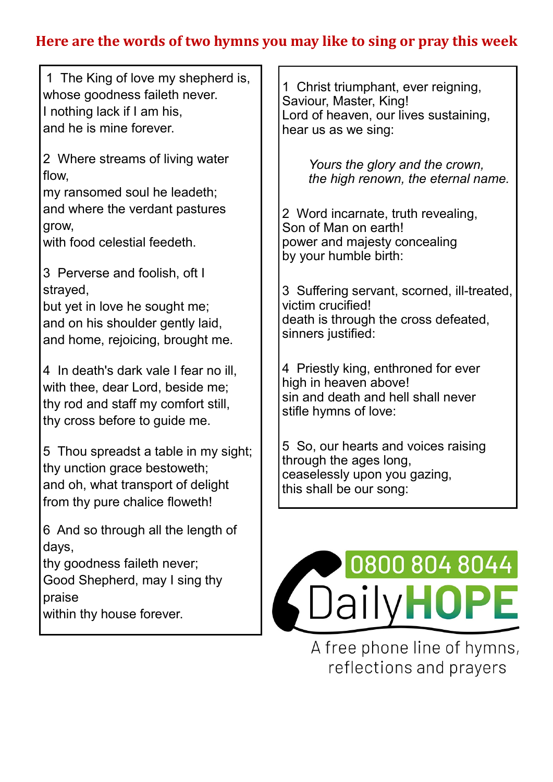# **Here are the words of two hymns you may like to sing or pray this week**

1 The King of love my shepherd is, whose goodness faileth never. I nothing lack if I am his, and he is mine forever.

2 Where streams of living water flow,

my ransomed soul he leadeth; and where the verdant pastures grow,

with food celestial feedeth.

3 Perverse and foolish, oft I strayed,

but yet in love he sought me; and on his shoulder gently laid, and home, rejoicing, brought me.

4 In death's dark vale I fear no ill, with thee, dear Lord, beside me; thy rod and staff my comfort still, thy cross before to guide me.

5 Thou spreadst a table in my sight; thy unction grace bestoweth; and oh, what transport of delight from thy pure chalice floweth!

6 And so through all the length of days,

thy goodness faileth never; Good Shepherd, may I sing thy praise

within thy house forever.

1 Christ triumphant, ever reigning, Saviour, Master, King! Lord of heaven, our lives sustaining, hear us as we sing:

> *Yours the glory and the crown, the high renown, the eternal name.*

2 Word incarnate, truth revealing, Son of Man on earth! power and majesty concealing by your humble birth:

3 Suffering servant, scorned, ill-treated, victim crucified! death is through the cross defeated, sinners justified:

4 Priestly king, enthroned for ever high in heaven above! sin and death and hell shall never stifle hymns of love:

5 So, our hearts and voices raising through the ages long, ceaselessly upon you gazing, this shall be our song:



A free phone line of hymns, reflections and prayers